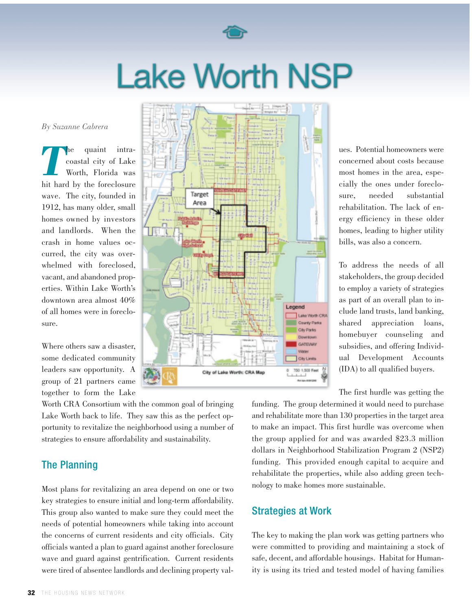

# **Lake Worth NSP**

*By Suzanne Cabrera*

**The quaint intra-**<br> **The coastal city of Lake**<br> **The Worth, Florida was** coastal city of Lake Worth, Florida was hit hard by the foreclosure wave. The city, founded in 1912, has many older, small homes owned by investors and landlords. When the crash in home values occurred, the city was overwhelmed with foreclosed, vacant, and abandoned properties. Within Lake Worth's downtown area almost 40% of all homes were in foreclosure.

Where others saw a disaster, some dedicated community leaders saw opportunity. A group of 21 partners came together to form the Lake

Worth CRA Consortium with the common goal of bringing Lake Worth back to life. They saw this as the perfect opportunity to revitalize the neighborhood using a number of strategies to ensure affordability and sustainability.

## The Planning

Most plans for revitalizing an area depend on one or two key strategies to ensure initial and long-term affordability. This group also wanted to make sure they could meet the needs of potential homeowners while taking into account the concerns of current residents and city officials. City officials wanted a plan to guard against another foreclosure wave and guard against gentrification. Current residents were tired of absentee landlords and declining property val-



ues. Potential homeowners were concerned about costs because most homes in the area, especially the ones under foreclosure, needed substantial rehabilitation. The lack of energy efficiency in these older homes, leading to higher utility bills, was also a concern.

To address the needs of all stakeholders, the group decided to employ a variety of strategies as part of an overall plan to include land trusts, land banking, shared appreciation loans, homebuyer counseling and subsidies, and offering Individual Development Accounts (IDA) to all qualified buyers.

The first hurdle was getting the

funding. The group determined it would need to purchase and rehabilitate more than 130 properties in the target area to make an impact. This first hurdle was overcome when the group applied for and was awarded \$23.3 million dollars in Neighborhood Stabilization Program 2 (NSP2) funding. This provided enough capital to acquire and rehabilitate the properties, while also adding green technology to make homes more sustainable.

## Strategies at Work

The key to making the plan work was getting partners who were committed to providing and maintaining a stock of safe, decent, and affordable housings. Habitat for Humanity is using its tried and tested model of having families